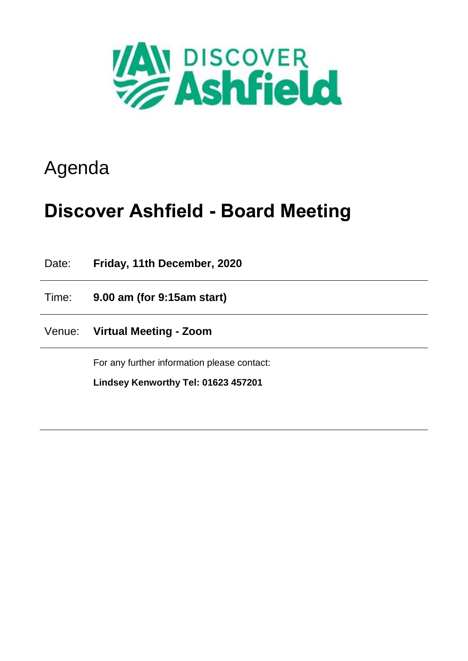

# Agenda

# **Discover Ashfield - Board Meeting**

Date: **Friday, 11th December, 2020**

Time: **9.00 am (for 9:15am start)**

Venue: **Virtual Meeting - Zoom**

For any further information please contact:

**Lindsey Kenworthy Tel: 01623 457201**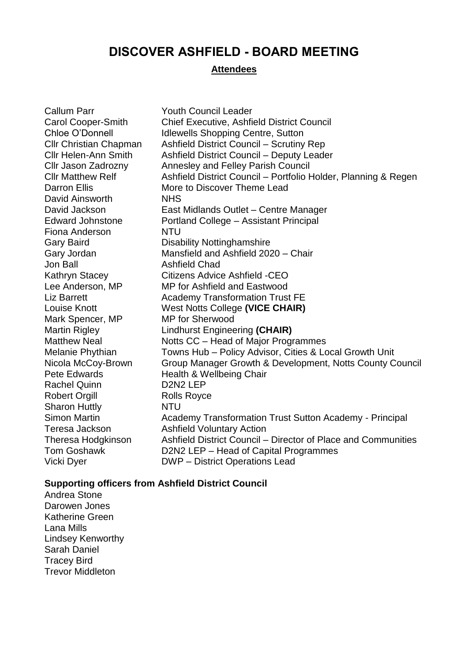## **DISCOVER ASHFIELD - BOARD MEETING**

#### **Attendees**

| <b>Callum Parr</b>            | <b>Youth Council Leader</b>                                    |
|-------------------------------|----------------------------------------------------------------|
| <b>Carol Cooper-Smith</b>     | <b>Chief Executive, Ashfield District Council</b>              |
| Chloe O'Donnell               | <b>Idlewells Shopping Centre, Sutton</b>                       |
| <b>Cllr Christian Chapman</b> | <b>Ashfield District Council - Scrutiny Rep</b>                |
| <b>Cllr Helen-Ann Smith</b>   | Ashfield District Council - Deputy Leader                      |
| Cllr Jason Zadrozny           | Annesley and Felley Parish Council                             |
| <b>Cllr Matthew Relf</b>      | Ashfield District Council - Portfolio Holder, Planning & Regen |
| <b>Darron Ellis</b>           | More to Discover Theme Lead                                    |
| David Ainsworth               | <b>NHS</b>                                                     |
| David Jackson                 | East Midlands Outlet - Centre Manager                          |
| <b>Edward Johnstone</b>       | Portland College - Assistant Principal                         |
| Fiona Anderson                | <b>NTU</b>                                                     |
| <b>Gary Baird</b>             | <b>Disability Nottinghamshire</b>                              |
| Gary Jordan                   | Mansfield and Ashfield 2020 - Chair                            |
| <b>Jon Ball</b>               | <b>Ashfield Chad</b>                                           |
| <b>Kathryn Stacey</b>         | Citizens Advice Ashfield -CEO                                  |
| Lee Anderson, MP              | MP for Ashfield and Eastwood                                   |
| <b>Liz Barrett</b>            | <b>Academy Transformation Trust FE</b>                         |
| <b>Louise Knott</b>           | West Notts College (VICE CHAIR)                                |
| Mark Spencer, MP              | <b>MP</b> for Sherwood                                         |
| <b>Martin Rigley</b>          | <b>Lindhurst Engineering (CHAIR)</b>                           |
| <b>Matthew Neal</b>           | Notts CC - Head of Major Programmes                            |
| Melanie Phythian              | Towns Hub - Policy Advisor, Cities & Local Growth Unit         |
| Nicola McCoy-Brown            | Group Manager Growth & Development, Notts County Council       |
| Pete Edwards                  | Health & Wellbeing Chair                                       |
| <b>Rachel Quinn</b>           | D <sub>2</sub> N <sub>2</sub> LEP                              |
| <b>Robert Orgill</b>          | <b>Rolls Royce</b>                                             |
| <b>Sharon Huttly</b>          | <b>NTU</b>                                                     |
| <b>Simon Martin</b>           | Academy Transformation Trust Sutton Academy - Principal        |
| Teresa Jackson                | <b>Ashfield Voluntary Action</b>                               |
| <b>Theresa Hodgkinson</b>     | Ashfield District Council – Director of Place and Communities  |
| <b>Tom Goshawk</b>            | D2N2 LEP - Head of Capital Programmes                          |
| Vicki Dyer                    | <b>DWP</b> – District Operations Lead                          |

### **Supporting officers from Ashfield District Council**

Andrea Stone Darowen Jones Katherine Green Lana Mills Lindsey Kenworthy Sarah Daniel Tracey Bird Trevor Middleton